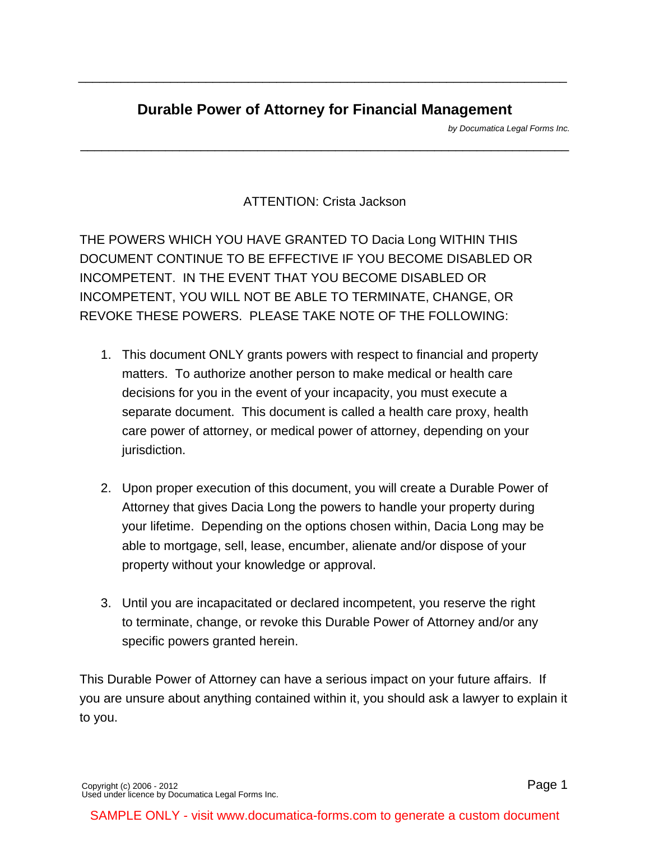# **Durable Power of Attorney for Financial Management**

\_\_\_\_\_\_\_\_\_\_\_\_\_\_\_\_\_\_\_\_\_\_\_\_\_\_\_\_\_\_\_\_\_\_\_\_\_\_\_\_\_\_\_\_\_\_\_\_\_\_\_\_\_\_\_\_\_\_\_\_\_\_\_\_\_\_\_\_\_

\_\_\_\_\_\_\_\_\_\_\_\_\_\_\_\_\_\_\_\_\_\_\_\_\_\_\_\_\_\_\_\_\_\_\_\_\_\_\_\_\_\_\_\_\_\_\_\_\_\_\_\_\_\_\_\_\_\_\_\_\_\_\_\_\_\_\_\_\_

[by Documatica Legal Forms Inc.](http://www.documatica-forms.com)

ATTENTION: Crista Jackson

THE POWERS WHICH YOU HAVE GRANTED TO Dacia Long WITHIN THIS DOCUMENT CONTINUE TO BE EFFECTIVE IF YOU BECOME DISABLED OR INCOMPETENT. IN THE EVENT THAT YOU BECOME DISABLED OR INCOMPETENT, YOU WILL NOT BE ABLE TO TERMINATE, CHANGE, OR REVOKE THESE POWERS. PLEASE TAKE NOTE OF THE FOLLOWING:

- 1. This document ONLY grants powers with respect to financial and property matters. To authorize another person to make medical or health care decisions for you in the event of your incapacity, you must execute a separate document. This document is called a health care proxy, health care power of attorney, or medical power of attorney, depending on your jurisdiction.
- 2. Upon proper execution of this document, you will create a Durable Power of Attorney that gives Dacia Long the powers to handle your property during your lifetime. Depending on the options chosen within, Dacia Long may be able to mortgage, sell, lease, encumber, alienate and/or dispose of your property without your knowledge or approval.
- 3. Until you are incapacitated or declared incompetent, you reserve the right to terminate, change, or revoke this Durable Power of Attorney and/or any specific powers granted herein.

This Durable Power of Attorney can have a serious impact on your future affairs. If you are unsure about anything contained within it, you should ask a lawyer to explain it to you.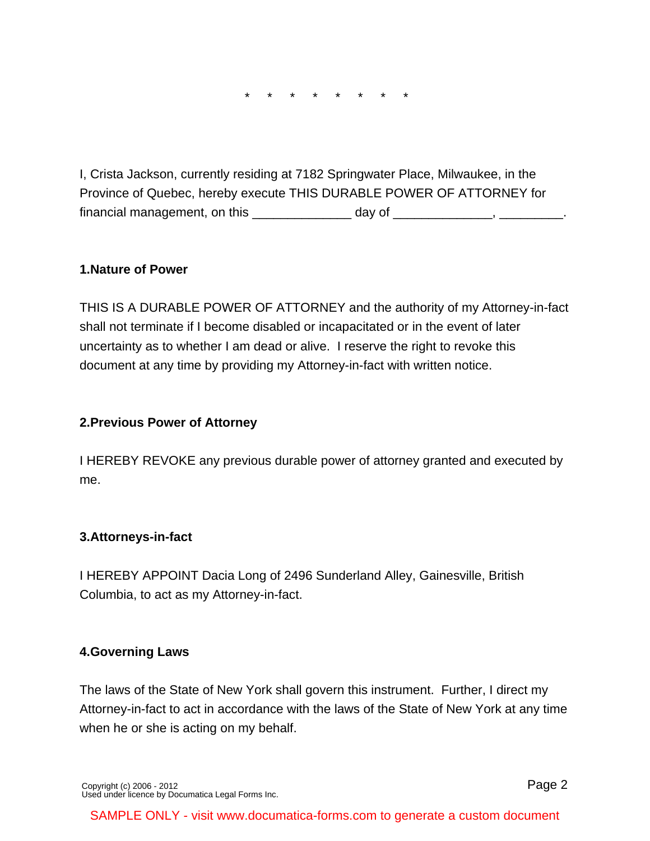\* \* \* \* \* \* \* \*

I, Crista Jackson, currently residing at 7182 Springwater Place, Milwaukee, in the Province of Quebec, hereby execute THIS DURABLE POWER OF ATTORNEY for financial management, on this \_\_\_\_\_\_\_\_\_\_\_\_\_\_ day of \_\_\_\_\_\_\_\_\_\_\_\_\_\_, \_\_\_\_\_\_\_\_\_.

#### **1. Nature of Power**

THIS IS A DURABLE POWER OF ATTORNEY and the authority of my Attorney-in-fact shall not terminate if I become disabled or incapacitated or in the event of later uncertainty as to whether I am dead or alive. I reserve the right to revoke this document at any time by providing my Attorney-in-fact with written notice.

#### **2. Previous Power of Attorney**

I HEREBY REVOKE any previous durable power of attorney granted and executed by me.

#### **3. Attorneys-in-fact**

I HEREBY APPOINT Dacia Long of 2496 Sunderland Alley, Gainesville, British Columbia, to act as my Attorney-in-fact.

#### **4. Governing Laws**

The laws of the State of New York shall govern this instrument. Further, I direct my Attorney-in-fact to act in accordance with the laws of the State of New York at any time when he or she is acting on my behalf.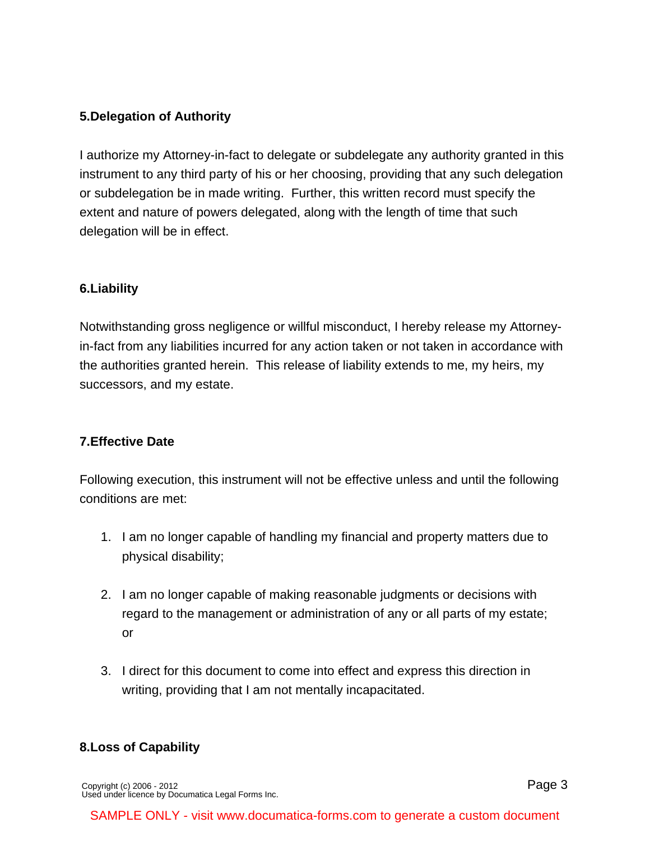# **5. Delegation of Authority**

I authorize my Attorney-in-fact to delegate or subdelegate any authority granted in this instrument to any third party of his or her choosing, providing that any such delegation or subdelegation be in made writing. Further, this written record must specify the extent and nature of powers delegated, along with the length of time that such delegation will be in effect.

# **6. Liability**

Notwithstanding gross negligence or willful misconduct, I hereby release my Attorneyin-fact from any liabilities incurred for any action taken or not taken in accordance with the authorities granted herein. This release of liability extends to me, my heirs, my successors, and my estate.

# **7. Effective Date**

Following execution, this instrument will not be effective unless and until the following conditions are met:

- 1. I am no longer capable of handling my financial and property matters due to physical disability;
- 2. I am no longer capable of making reasonable judgments or decisions with regard to the management or administration of any or all parts of my estate; or
- 3. I direct for this document to come into effect and express this direction in writing, providing that I am not mentally incapacitated.

# **8. Loss of Capability**

[Copyright \(c\) 2006 - 2012](http://www.documatica-forms.com) [Used under licence by Documatica Legal Forms Inc.](http://www.documatica-forms.com)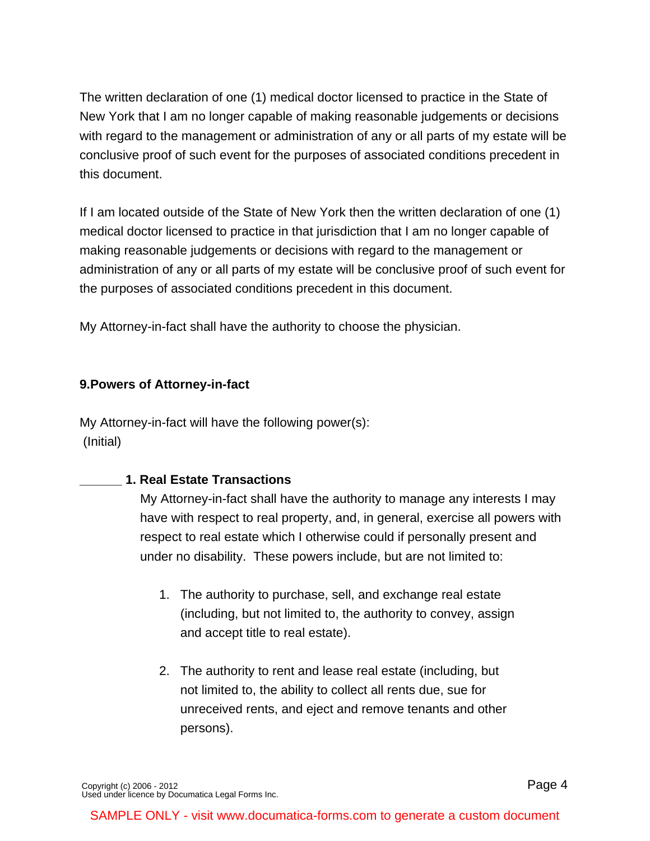The written declaration of one (1) medical doctor licensed to practice in the State of New York that I am no longer capable of making reasonable judgements or decisions with regard to the management or administration of any or all parts of my estate will be conclusive proof of such event for the purposes of associated conditions precedent in this document.

If I am located outside of the State of New York then the written declaration of one (1) medical doctor licensed to practice in that jurisdiction that I am no longer capable of making reasonable judgements or decisions with regard to the management or administration of any or all parts of my estate will be conclusive proof of such event for the purposes of associated conditions precedent in this document.

My Attorney-in-fact shall have the authority to choose the physician.

# **9. Powers of Attorney-in-fact**

My Attorney-in-fact will have the following power(s): (Initial)

# **\_\_\_\_\_\_ 1. Real Estate Transactions**

My Attorney-in-fact shall have the authority to manage any interests I may have with respect to real property, and, in general, exercise all powers with respect to real estate which I otherwise could if personally present and under no disability. These powers include, but are not limited to:

- 1. The authority to purchase, sell, and exchange real estate (including, but not limited to, the authority to convey, assign and accept title to real estate).
- 2. The authority to rent and lease real estate (including, but not limited to, the ability to collect all rents due, sue for unreceived rents, and eject and remove tenants and other persons).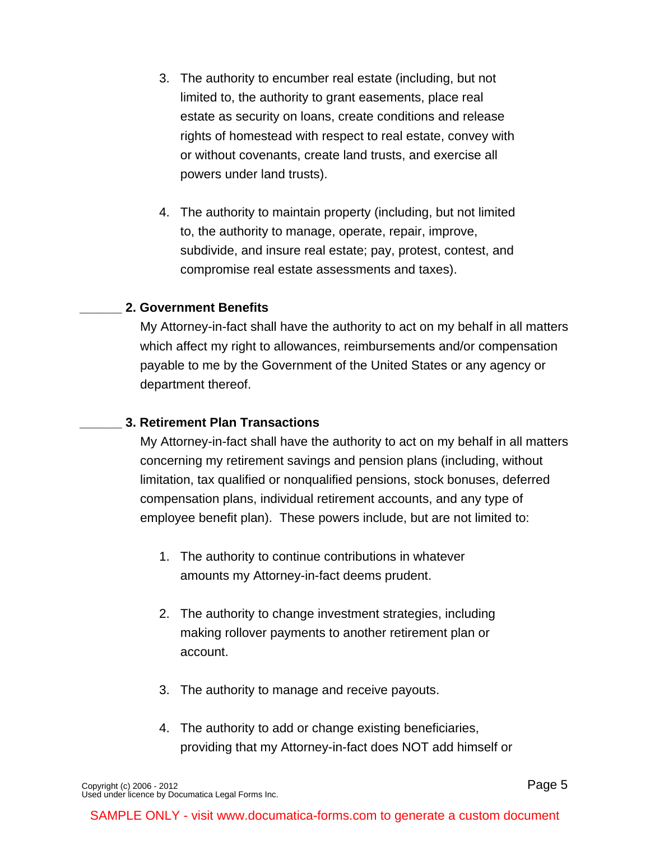- 3. The authority to encumber real estate (including, but not limited to, the authority to grant easements, place real estate as security on loans, create conditions and release rights of homestead with respect to real estate, convey with or without covenants, create land trusts, and exercise all powers under land trusts).
- 4. The authority to maintain property (including, but not limited to, the authority to manage, operate, repair, improve, subdivide, and insure real estate; pay, protest, contest, and compromise real estate assessments and taxes).

### **\_\_\_\_\_\_ 2. Government Benefits**

My Attorney-in-fact shall have the authority to act on my behalf in all matters which affect my right to allowances, reimbursements and/or compensation payable to me by the Government of the United States or any agency or department thereof.

#### **\_\_\_\_\_\_ 3. Retirement Plan Transactions**

My Attorney-in-fact shall have the authority to act on my behalf in all matters concerning my retirement savings and pension plans (including, without limitation, tax qualified or nonqualified pensions, stock bonuses, deferred compensation plans, individual retirement accounts, and any type of employee benefit plan). These powers include, but are not limited to:

- 1. The authority to continue contributions in whatever amounts my Attorney-in-fact deems prudent.
- 2. The authority to change investment strategies, including making rollover payments to another retirement plan or account.
- 3. The authority to manage and receive payouts.
- 4. The authority to add or change existing beneficiaries, providing that my Attorney-in-fact does NOT add himself or

Page 5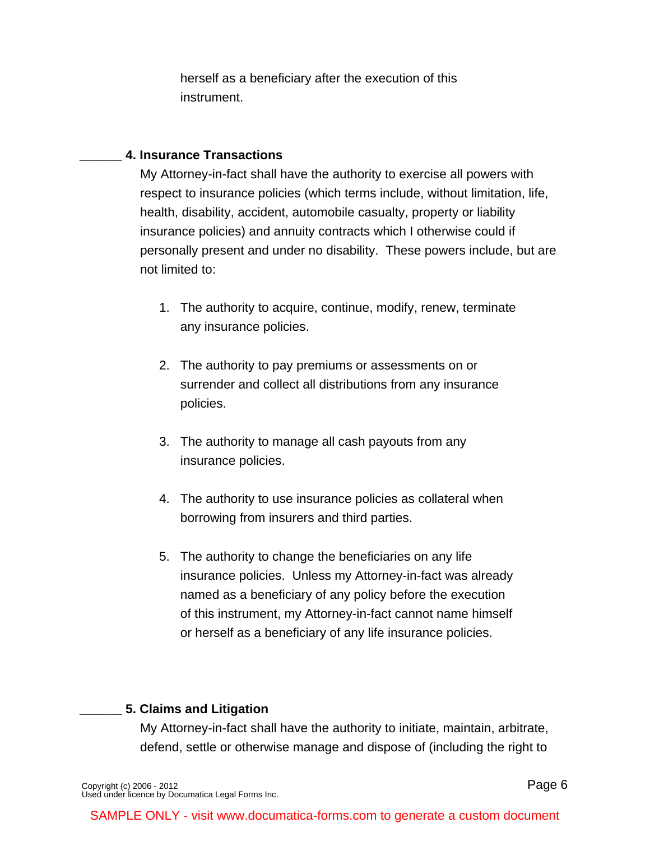herself as a beneficiary after the execution of this instrument.

### **\_\_\_\_\_\_ 4. Insurance Transactions**

My Attorney-in-fact shall have the authority to exercise all powers with respect to insurance policies (which terms include, without limitation, life, health, disability, accident, automobile casualty, property or liability insurance policies) and annuity contracts which I otherwise could if personally present and under no disability. These powers include, but are not limited to:

- 1. The authority to acquire, continue, modify, renew, terminate any insurance policies.
- 2. The authority to pay premiums or assessments on or surrender and collect all distributions from any insurance policies.
- 3. The authority to manage all cash payouts from any insurance policies.
- 4. The authority to use insurance policies as collateral when borrowing from insurers and third parties.
- 5. The authority to change the beneficiaries on any life insurance policies. Unless my Attorney-in-fact was already named as a beneficiary of any policy before the execution of this instrument, my Attorney-in-fact cannot name himself or herself as a beneficiary of any life insurance policies.

# **\_\_\_\_\_\_ 5. Claims and Litigation**

My Attorney-in-fact shall have the authority to initiate, maintain, arbitrate, defend, settle or otherwise manage and dispose of (including the right to

[Copyright \(c\) 2006 - 2012](http://www.documatica-forms.com) [Used under licence by Documatica Legal Forms Inc.](http://www.documatica-forms.com) Page 6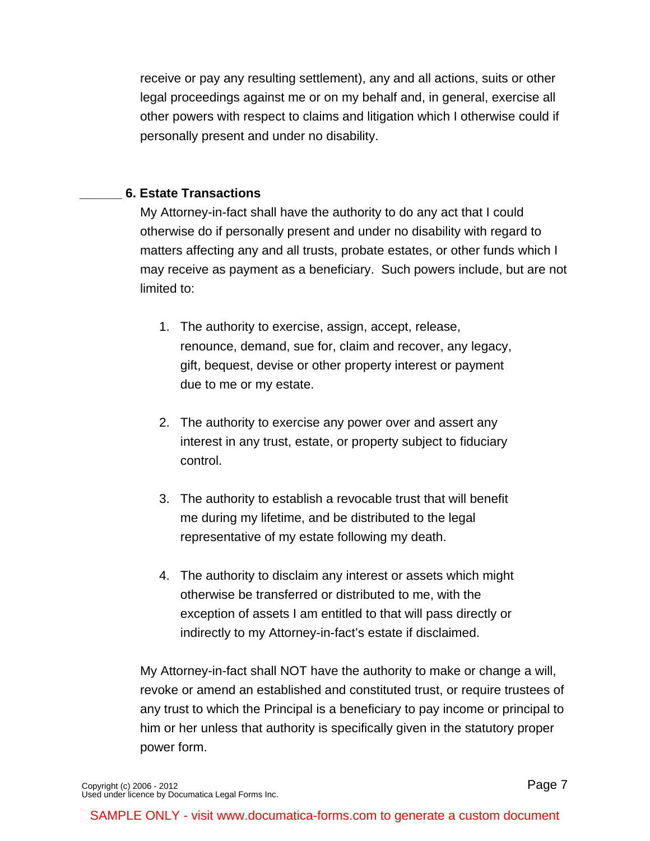receive or pay any resulting settlement), any and all actions, suits or other legal proceedings against me or on my behalf and, in general, exercise all other powers with respect to claims and litigation which I otherwise could if personally present and under no disability.

### **\_\_\_\_\_\_ 6. Estate Transactions**

My Attorney-in-fact shall have the authority to do any act that I could otherwise do if personally present and under no disability with regard to matters affecting any and all trusts, probate estates, or other funds which I may receive as payment as a beneficiary. Such powers include, but are not limited to:

- 1. The authority to exercise, assign, accept, release, renounce, demand, sue for, claim and recover, any legacy, gift, bequest, devise or other property interest or payment due to me or my estate.
- 2. The authority to exercise any power over and assert any interest in any trust, estate, or property subject to fiduciary control.
- 3. The authority to establish a revocable trust that will benefit me during my lifetime, and be distributed to the legal representative of my estate following my death.
- 4. The authority to disclaim any interest or assets which might otherwise be transferred or distributed to me, with the exception of assets I am entitled to that will pass directly or indirectly to my Attorney-in-fact's estate if disclaimed.

My Attorney-in-fact shall NOT have the authority to make or change a will, revoke or amend an established and constituted trust, or require trustees of any trust to which the Principal is a beneficiary to pay income or principal to him or her unless that authority is specifically given in the statutory proper power form.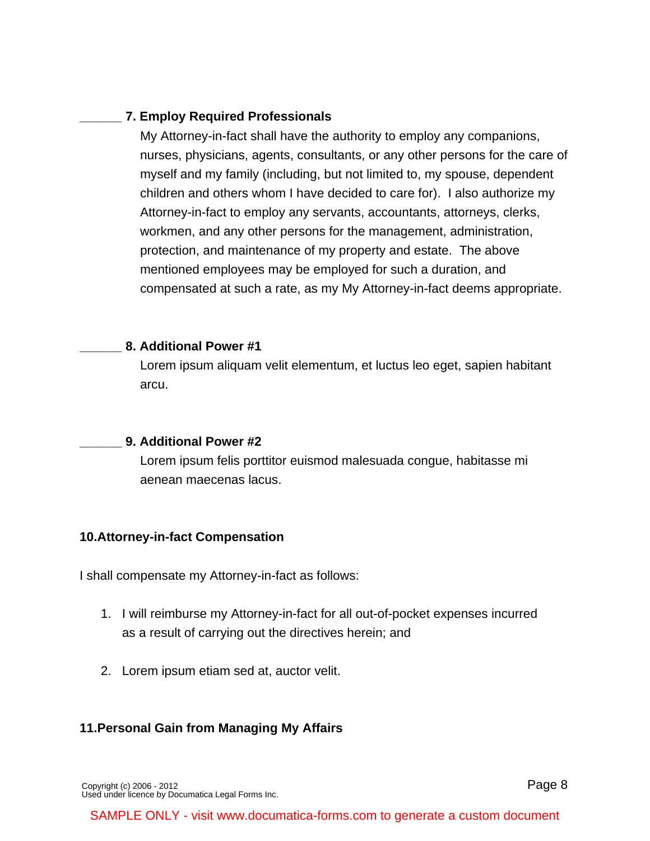## **\_\_\_\_\_\_ 7. Employ Required Professionals**

My Attorney-in-fact shall have the authority to employ any companions, nurses, physicians, agents, consultants, or any other persons for the care of myself and my family (including, but not limited to, my spouse, dependent children and others whom I have decided to care for). I also authorize my Attorney-in-fact to employ any servants, accountants, attorneys, clerks, workmen, and any other persons for the management, administration, protection, and maintenance of my property and estate. The above mentioned employees may be employed for such a duration, and compensated at such a rate, as my My Attorney-in-fact deems appropriate.

#### **\_\_\_\_\_\_ 8. Additional Power #1**

Lorem ipsum aliquam velit elementum, et luctus leo eget, sapien habitant arcu.

#### **\_\_\_\_\_\_ 9. Additional Power #2**

Lorem ipsum felis porttitor euismod malesuada congue, habitasse mi aenean maecenas lacus.

# **10. Attorney-in-fact Compensation**

I shall compensate my Attorney-in-fact as follows:

- 1. I will reimburse my Attorney-in-fact for all out-of-pocket expenses incurred as a result of carrying out the directives herein; and
- 2. Lorem ipsum etiam sed at, auctor velit.

# **11. Personal Gain from Managing My Affairs**

[Copyright \(c\) 2006 - 2012](http://www.documatica-forms.com) [Used under licence by Documatica Legal Forms Inc.](http://www.documatica-forms.com)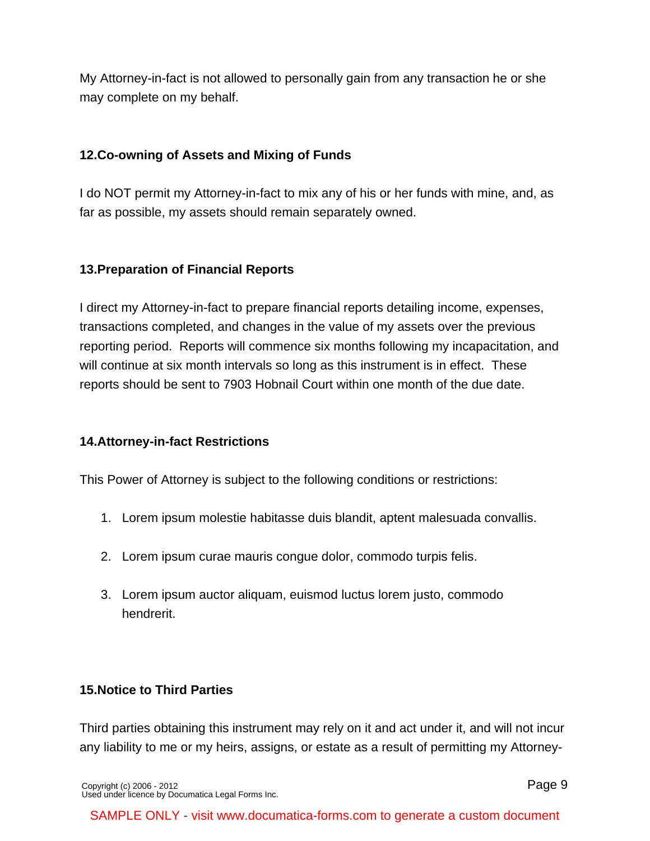My Attorney-in-fact is not allowed to personally gain from any transaction he or she may complete on my behalf.

# **12. Co-owning of Assets and Mixing of Funds**

I do NOT permit my Attorney-in-fact to mix any of his or her funds with mine, and, as far as possible, my assets should remain separately owned.

# **13. Preparation of Financial Reports**

I direct my Attorney-in-fact to prepare financial reports detailing income, expenses, transactions completed, and changes in the value of my assets over the previous reporting period. Reports will commence six months following my incapacitation, and will continue at six month intervals so long as this instrument is in effect. These reports should be sent to 7903 Hobnail Court within one month of the due date.

# **14. Attorney-in-fact Restrictions**

This Power of Attorney is subject to the following conditions or restrictions:

- 1. Lorem ipsum molestie habitasse duis blandit, aptent malesuada convallis.
- 2. Lorem ipsum curae mauris congue dolor, commodo turpis felis.
- 3. Lorem ipsum auctor aliquam, euismod luctus lorem justo, commodo hendrerit.

# **15. Notice to Third Parties**

Third parties obtaining this instrument may rely on it and act under it, and will not incur any liability to me or my heirs, assigns, or estate as a result of permitting my Attorney-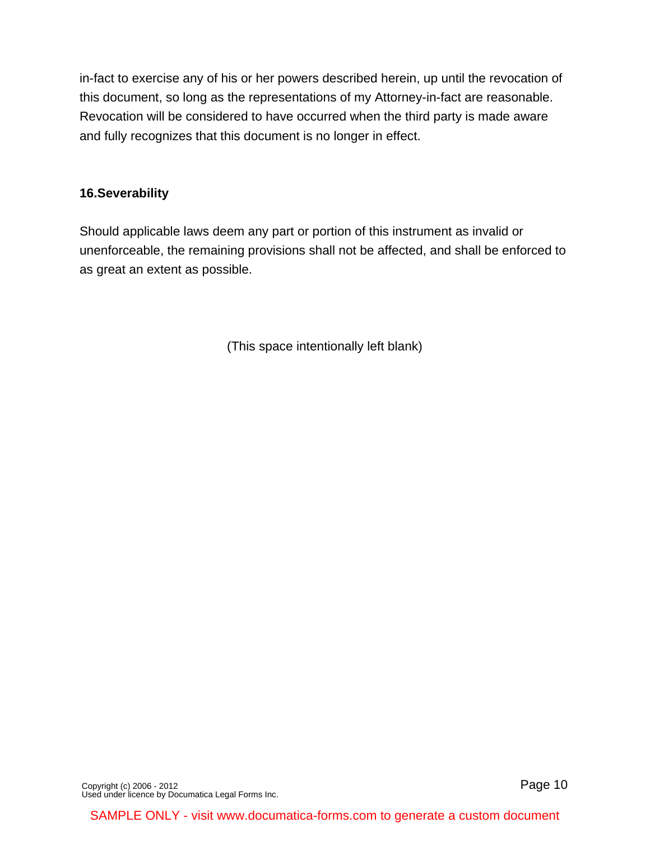in-fact to exercise any of his or her powers described herein, up until the revocation of this document, so long as the representations of my Attorney-in-fact are reasonable. Revocation will be considered to have occurred when the third party is made aware and fully recognizes that this document is no longer in effect.

### **16. Severability**

Should applicable laws deem any part or portion of this instrument as invalid or unenforceable, the remaining provisions shall not be affected, and shall be enforced to as great an extent as possible.

(This space intentionally left blank)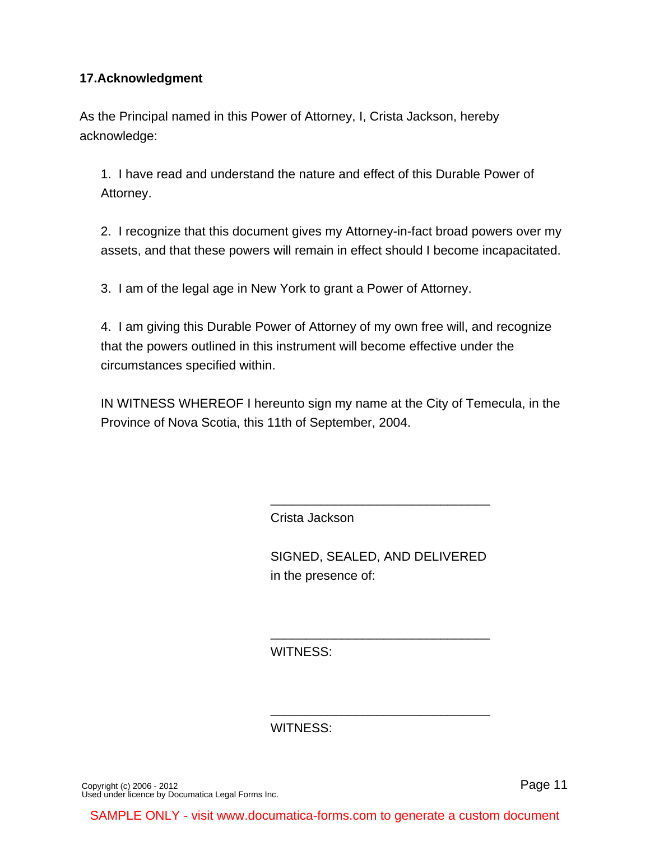## **17. Acknowledgment**

As the Principal named in this Power of Attorney, I, Crista Jackson, hereby acknowledge:

1. I have read and understand the nature and effect of this Durable Power of Attorney.

2. I recognize that this document gives my Attorney-in-fact broad powers over my assets, and that these powers will remain in effect should I become incapacitated.

3. I am of the legal age in New York to grant a Power of Attorney.

4. I am giving this Durable Power of Attorney of my own free will, and recognize that the powers outlined in this instrument will become effective under the circumstances specified within.

IN WITNESS WHEREOF I hereunto sign my name at the City of Temecula, in the Province of Nova Scotia, this 11th of September, 2004.

Crista Jackson

SIGNED, SEALED, AND DELIVERED in the presence of:

\_\_\_\_\_\_\_\_\_\_\_\_\_\_\_\_\_\_\_\_\_\_\_\_\_\_\_\_\_\_\_

\_\_\_\_\_\_\_\_\_\_\_\_\_\_\_\_\_\_\_\_\_\_\_\_\_\_\_\_\_\_\_

\_\_\_\_\_\_\_\_\_\_\_\_\_\_\_\_\_\_\_\_\_\_\_\_\_\_\_\_\_\_\_

WITNESS:

WITNESS:

[Copyright \(c\) 2006 - 2012](http://www.documatica-forms.com) [Used under licence by Documatica Legal Forms Inc.](http://www.documatica-forms.com) Page 11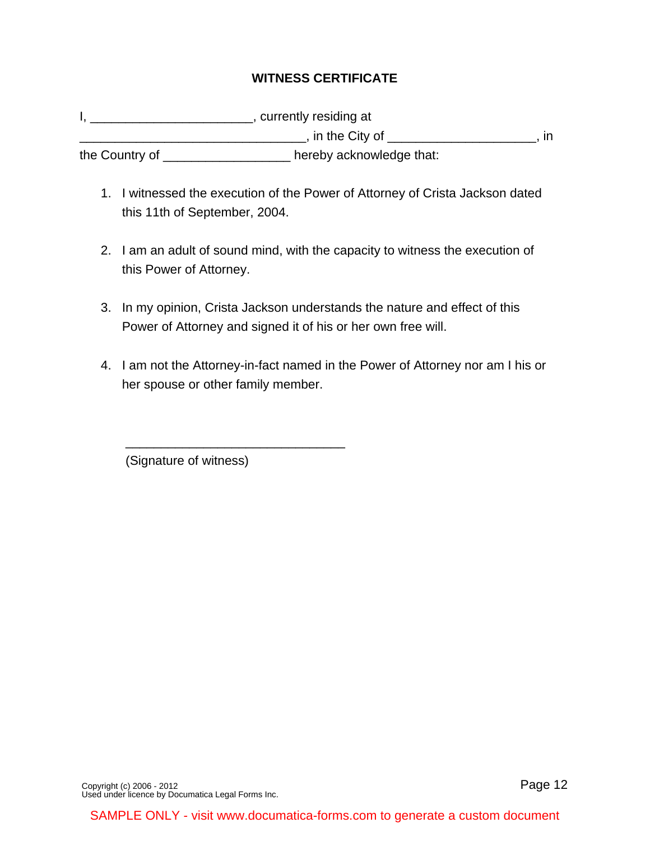# **WITNESS CERTIFICATE**

I, \_\_\_\_\_\_\_\_\_\_\_\_\_\_\_\_\_\_\_\_\_\_\_\_\_\_\_, currently residing at \_\_\_\_\_\_\_\_\_\_\_\_\_\_\_\_\_\_\_\_\_\_\_\_\_\_\_, in the City of \_\_\_\_\_\_\_\_\_\_\_\_\_\_\_\_\_\_\_\_\_\_\_\_\_\_, in the Country of \_\_\_\_\_\_\_\_\_\_\_\_\_\_\_\_\_\_ hereby acknowledge that:

- 1. I witnessed the execution of the Power of Attorney of Crista Jackson dated this 11th of September, 2004.
- 2. I am an adult of sound mind, with the capacity to witness the execution of this Power of Attorney.
- 3. In my opinion, Crista Jackson understands the nature and effect of this Power of Attorney and signed it of his or her own free will.
- 4. I am not the Attorney-in-fact named in the Power of Attorney nor am I his or her spouse or other family member.

(Signature of witness)

 $\frac{1}{\sqrt{2}}$  ,  $\frac{1}{\sqrt{2}}$  ,  $\frac{1}{\sqrt{2}}$  ,  $\frac{1}{\sqrt{2}}$  ,  $\frac{1}{\sqrt{2}}$  ,  $\frac{1}{\sqrt{2}}$  ,  $\frac{1}{\sqrt{2}}$  ,  $\frac{1}{\sqrt{2}}$  ,  $\frac{1}{\sqrt{2}}$  ,  $\frac{1}{\sqrt{2}}$  ,  $\frac{1}{\sqrt{2}}$  ,  $\frac{1}{\sqrt{2}}$  ,  $\frac{1}{\sqrt{2}}$  ,  $\frac{1}{\sqrt{2}}$  ,  $\frac{1}{\sqrt{2}}$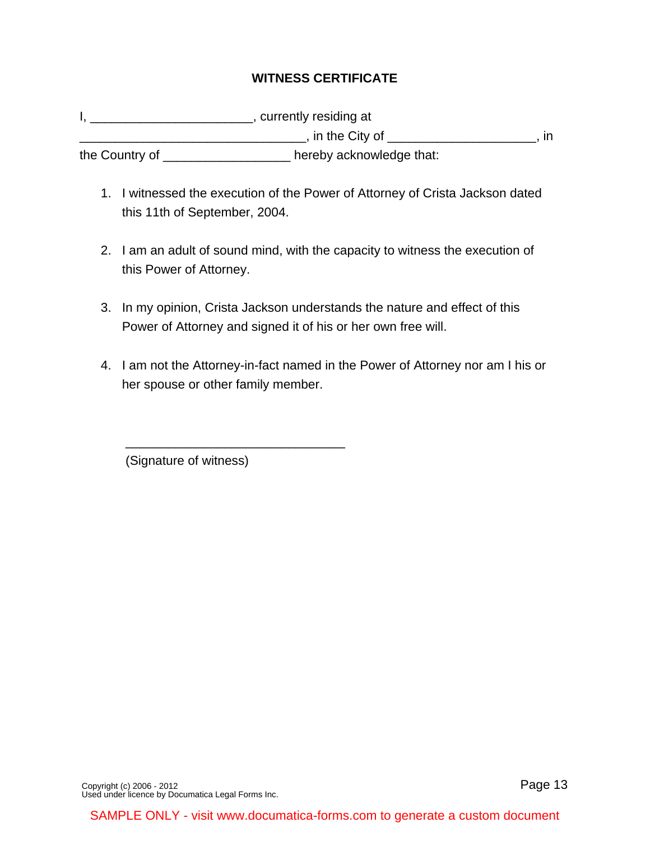# **WITNESS CERTIFICATE**

I, \_\_\_\_\_\_\_\_\_\_\_\_\_\_\_\_\_\_\_\_\_\_\_\_\_\_\_, currently residing at \_\_\_\_\_\_\_\_\_\_\_\_\_\_\_\_\_\_\_\_\_\_\_\_\_\_\_, in the City of \_\_\_\_\_\_\_\_\_\_\_\_\_\_\_\_\_\_\_\_\_\_\_\_\_\_, in the Country of \_\_\_\_\_\_\_\_\_\_\_\_\_\_\_\_\_\_ hereby acknowledge that:

- 1. I witnessed the execution of the Power of Attorney of Crista Jackson dated this 11th of September, 2004.
- 2. I am an adult of sound mind, with the capacity to witness the execution of this Power of Attorney.
- 3. In my opinion, Crista Jackson understands the nature and effect of this Power of Attorney and signed it of his or her own free will.
- 4. I am not the Attorney-in-fact named in the Power of Attorney nor am I his or her spouse or other family member.

(Signature of witness)

 $\frac{1}{\sqrt{2}}$  ,  $\frac{1}{\sqrt{2}}$  ,  $\frac{1}{\sqrt{2}}$  ,  $\frac{1}{\sqrt{2}}$  ,  $\frac{1}{\sqrt{2}}$  ,  $\frac{1}{\sqrt{2}}$  ,  $\frac{1}{\sqrt{2}}$  ,  $\frac{1}{\sqrt{2}}$  ,  $\frac{1}{\sqrt{2}}$  ,  $\frac{1}{\sqrt{2}}$  ,  $\frac{1}{\sqrt{2}}$  ,  $\frac{1}{\sqrt{2}}$  ,  $\frac{1}{\sqrt{2}}$  ,  $\frac{1}{\sqrt{2}}$  ,  $\frac{1}{\sqrt{2}}$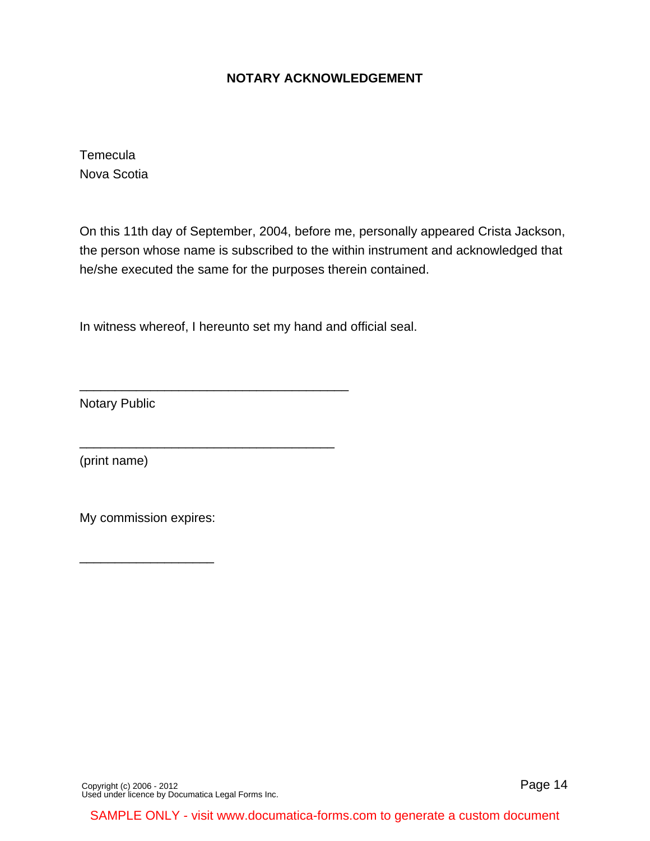## **NOTARY ACKNOWLEDGEMENT**

**Temecula** Nova Scotia

On this 11th day of September, 2004, before me, personally appeared Crista Jackson, the person whose name is subscribed to the within instrument and acknowledged that he/she executed the same for the purposes therein contained.

In witness whereof, I hereunto set my hand and official seal.

\_\_\_\_\_\_\_\_\_\_\_\_\_\_\_\_\_\_\_\_\_\_\_\_\_\_\_\_\_\_\_\_\_\_\_\_\_\_

\_\_\_\_\_\_\_\_\_\_\_\_\_\_\_\_\_\_\_\_\_\_\_\_\_\_\_\_\_\_\_\_\_\_\_\_

Notary Public

(print name)

My commission expires:

\_\_\_\_\_\_\_\_\_\_\_\_\_\_\_\_\_\_\_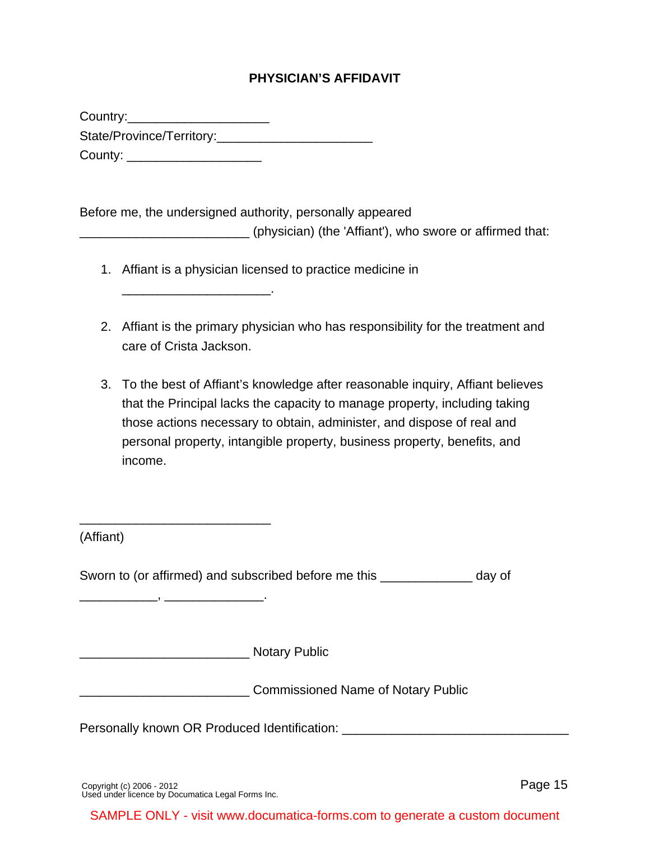## **PHYSICIAN'S AFFIDAVIT**

Country:\_\_\_\_\_\_\_\_\_\_\_\_\_\_\_\_\_\_\_\_ State/Province/Territory: County: \_\_\_\_\_\_\_\_\_\_\_\_\_\_\_\_\_\_\_\_\_\_\_\_

\_\_\_\_\_\_\_\_\_\_\_\_\_\_\_\_\_\_\_\_\_.

Before me, the undersigned authority, personally appeared

\_\_\_\_\_\_\_\_\_\_\_\_\_\_\_\_\_\_\_\_\_\_\_\_ (physician) (the 'Affiant'), who swore or affirmed that:

- 1. Affiant is a physician licensed to practice medicine in
- 2. Affiant is the primary physician who has responsibility for the treatment and care of Crista Jackson.
- 3. To the best of Affiant's knowledge after reasonable inquiry, Affiant believes that the Principal lacks the capacity to manage property, including taking those actions necessary to obtain, administer, and dispose of real and personal property, intangible property, business property, benefits, and income.

| (Affiant) |  |  |  |
|-----------|--|--|--|
|-----------|--|--|--|

Sworn to (or affirmed) and subscribed before me this \_\_\_\_\_\_\_\_\_\_\_\_\_ day of

\_\_\_\_\_\_\_\_\_\_\_\_\_\_\_\_\_\_\_\_\_\_\_\_ Notary Public

\_\_\_\_\_\_\_\_\_\_\_\_\_\_\_\_\_\_\_\_\_\_\_\_\_\_\_

\_\_\_\_\_\_\_\_\_\_\_, \_\_\_\_\_\_\_\_\_\_\_\_\_\_.

**EXECUTE:** Commissioned Name of Notary Public

Personally known OR Produced Identification: \_\_\_\_\_\_\_\_\_\_\_\_\_\_\_\_\_\_\_\_\_\_\_\_\_\_\_\_\_\_\_\_\_\_\_

[Copyright \(c\) 2006 - 2012](http://www.documatica-forms.com) [Used under licence by Documatica Legal Forms Inc.](http://www.documatica-forms.com) Page 15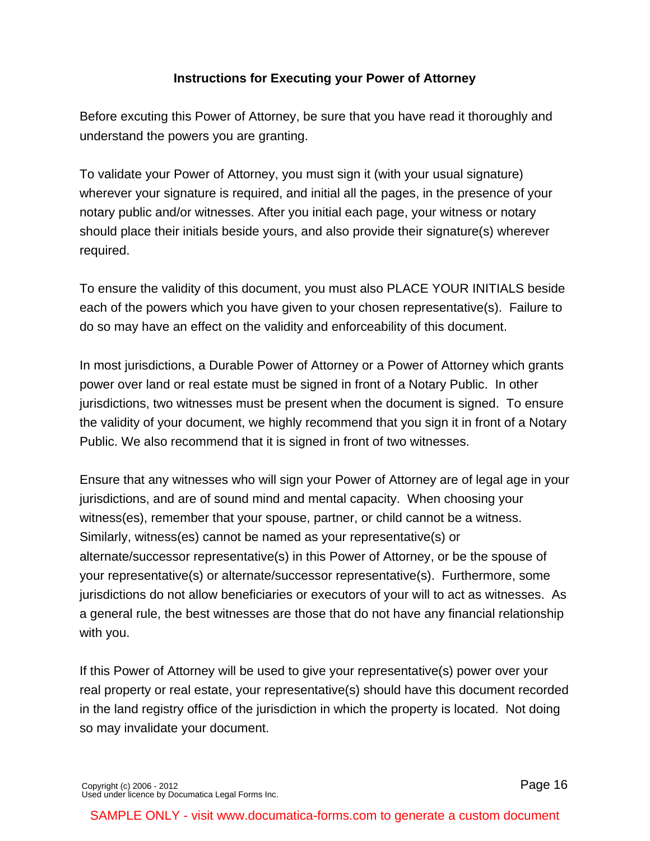# **Instructions for Executing your Power of Attorney**

Before excuting this Power of Attorney, be sure that you have read it thoroughly and understand the powers you are granting.

To validate your Power of Attorney, you must sign it (with your usual signature) wherever your signature is required, and initial all the pages, in the presence of your notary public and/or witnesses. After you initial each page, your witness or notary should place their initials beside yours, and also provide their signature(s) wherever required.

To ensure the validity of this document, you must also PLACE YOUR INITIALS beside each of the powers which you have given to your chosen representative(s). Failure to do so may have an effect on the validity and enforceability of this document.

In most jurisdictions, a Durable Power of Attorney or a Power of Attorney which grants power over land or real estate must be signed in front of a Notary Public. In other jurisdictions, two witnesses must be present when the document is signed. To ensure the validity of your document, we highly recommend that you sign it in front of a Notary Public. We also recommend that it is signed in front of two witnesses.

Ensure that any witnesses who will sign your Power of Attorney are of legal age in your jurisdictions, and are of sound mind and mental capacity. When choosing your witness(es), remember that your spouse, partner, or child cannot be a witness. Similarly, witness(es) cannot be named as your representative(s) or alternate/successor representative(s) in this Power of Attorney, or be the spouse of your representative(s) or alternate/successor representative(s). Furthermore, some jurisdictions do not allow beneficiaries or executors of your will to act as witnesses. As a general rule, the best witnesses are those that do not have any financial relationship with you.

If this Power of Attorney will be used to give your representative(s) power over your real property or real estate, your representative(s) should have this document recorded in the land registry office of the jurisdiction in which the property is located. Not doing so may invalidate your document.

[Copyright \(c\) 2006 - 2012](http://www.documatica-forms.com) [Used under licence by Documatica Legal Forms Inc.](http://www.documatica-forms.com) Page 16